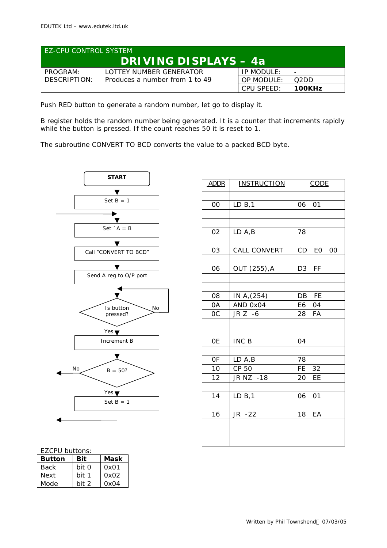| <b>LEZ-CPU CONTROL SYSTEM</b> |                                |            |                          |  |
|-------------------------------|--------------------------------|------------|--------------------------|--|
| <b>DRIVING DISPLAYS - 4a</b>  |                                |            |                          |  |
| PROGRAM:                      | LOTTEY NUMBER GENERATOR        | IP MODULE: | $\overline{\phantom{0}}$ |  |
| DESCRIPTION:                  | Produces a number from 1 to 49 | OP MODULE: | O2DD.                    |  |
|                               |                                | CPU SPFFD: | 100KHz                   |  |

Push RED button to generate a random number, let go to display it.

B register holds the random number being generated. It is a counter that increments rapidly while the button is pressed. If the count reaches 50 it is reset to 1.

The subroutine CONVERT TO BCD converts the value to a packed BCD byte.



| <b>ADDR</b> | <b>INSTRUCTION</b>      | <b>CODE</b>                 |  |
|-------------|-------------------------|-----------------------------|--|
|             |                         |                             |  |
| OO          | LD B, 1                 | 01<br>06                    |  |
|             |                         |                             |  |
|             |                         |                             |  |
| 02          | LD A, B                 | 78                          |  |
|             |                         |                             |  |
| 03          | CALL CONVERT            | CD EO<br>00                 |  |
|             |                         |                             |  |
| 06          | OUT (255), A            | <b>FF</b><br>D <sub>3</sub> |  |
|             |                         |                             |  |
| 08          |                         | DB FE                       |  |
| 0A          | IN A, (254)<br>AND 0x04 | E6 04                       |  |
| 0C          | JR Z -6                 | 28<br>FA                    |  |
|             |                         |                             |  |
|             |                         |                             |  |
| <b>OE</b>   | INC B                   | 04                          |  |
|             |                         |                             |  |
| 0F          | LD A, B                 | 78                          |  |
| 10          | CP 50                   | <b>FE</b><br>32             |  |
| 12          | JR NZ -18               | EE<br>20                    |  |
|             |                         |                             |  |
| 14          | LD B, 1                 | 06<br>01                    |  |
|             |                         |                             |  |
| 16          | JR -22                  | 18<br>EA                    |  |
|             |                         |                             |  |
|             |                         |                             |  |
|             |                         |                             |  |

## EZCPU buttons:

| <b>Button</b> | Bit   | Mask |
|---------------|-------|------|
| Back          | hit 0 | 0x01 |
| Next          | bit   | 0x02 |
| Mode          | hit 2 | 0x04 |